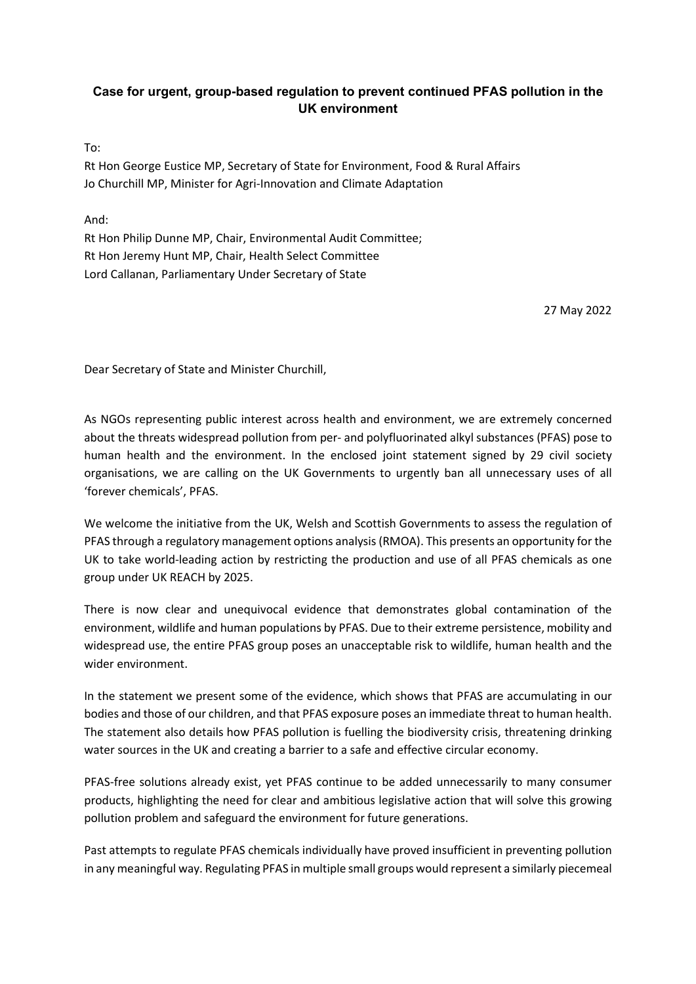## Case for urgent, group-based regulation to prevent continued PFAS pollution in the UK environment

To:

Rt Hon George Eustice MP, Secretary of State for Environment, Food & Rural Affairs Jo Churchill MP, Minister for Agri-Innovation and Climate Adaptation

And:

Rt Hon Philip Dunne MP, Chair, Environmental Audit Committee; Rt Hon Jeremy Hunt MP, Chair, Health Select Committee Lord Callanan, Parliamentary Under Secretary of State

27 May 2022

Dear Secretary of State and Minister Churchill,

As NGOs representing public interest across health and environment, we are extremely concerned about the threats widespread pollution from per- and polyfluorinated alkyl substances (PFAS) pose to human health and the environment. In the enclosed joint statement signed by 29 civil society organisations, we are calling on the UK Governments to urgently ban all unnecessary uses of all 'forever chemicals', PFAS.

We welcome the initiative from the UK, Welsh and Scottish Governments to assess the regulation of PFAS through a regulatory management options analysis (RMOA). This presents an opportunity for the UK to take world-leading action by restricting the production and use of all PFAS chemicals as one group under UK REACH by 2025.

There is now clear and unequivocal evidence that demonstrates global contamination of the environment, wildlife and human populations by PFAS. Due to their extreme persistence, mobility and widespread use, the entire PFAS group poses an unacceptable risk to wildlife, human health and the wider environment.

In the statement we present some of the evidence, which shows that PFAS are accumulating in our bodies and those of our children, and that PFAS exposure poses an immediate threat to human health. The statement also details how PFAS pollution is fuelling the biodiversity crisis, threatening drinking water sources in the UK and creating a barrier to a safe and effective circular economy.

PFAS-free solutions already exist, yet PFAS continue to be added unnecessarily to many consumer products, highlighting the need for clear and ambitious legislative action that will solve this growing pollution problem and safeguard the environment for future generations.

Past attempts to regulate PFAS chemicals individually have proved insufficient in preventing pollution in any meaningful way. Regulating PFAS in multiple small groups would represent a similarly piecemeal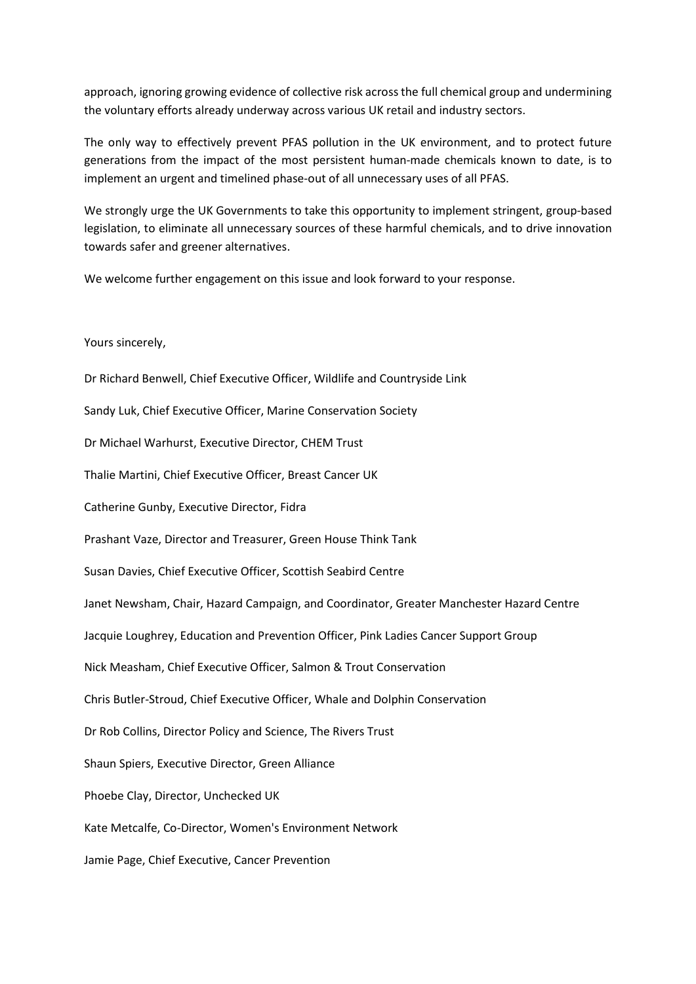approach, ignoring growing evidence of collective risk across the full chemical group and undermining the voluntary efforts already underway across various UK retail and industry sectors.

The only way to effectively prevent PFAS pollution in the UK environment, and to protect future generations from the impact of the most persistent human-made chemicals known to date, is to implement an urgent and timelined phase-out of all unnecessary uses of all PFAS.

We strongly urge the UK Governments to take this opportunity to implement stringent, group-based legislation, to eliminate all unnecessary sources of these harmful chemicals, and to drive innovation towards safer and greener alternatives.

We welcome further engagement on this issue and look forward to your response.

Yours sincerely,

Dr Richard Benwell, Chief Executive Officer, Wildlife and Countryside Link Sandy Luk, Chief Executive Officer, Marine Conservation Society Dr Michael Warhurst, Executive Director, CHEM Trust Thalie Martini, Chief Executive Officer, Breast Cancer UK Catherine Gunby, Executive Director, Fidra Prashant Vaze, Director and Treasurer, Green House Think Tank Susan Davies, Chief Executive Officer, Scottish Seabird Centre Janet Newsham, Chair, Hazard Campaign, and Coordinator, Greater Manchester Hazard Centre Jacquie Loughrey, Education and Prevention Officer, Pink Ladies Cancer Support Group Nick Measham, Chief Executive Officer, Salmon & Trout Conservation Chris Butler-Stroud, Chief Executive Officer, Whale and Dolphin Conservation Dr Rob Collins, Director Policy and Science, The Rivers Trust Shaun Spiers, Executive Director, Green Alliance Phoebe Clay, Director, Unchecked UK Kate Metcalfe, Co-Director, Women's Environment Network Jamie Page, Chief Executive, Cancer Prevention